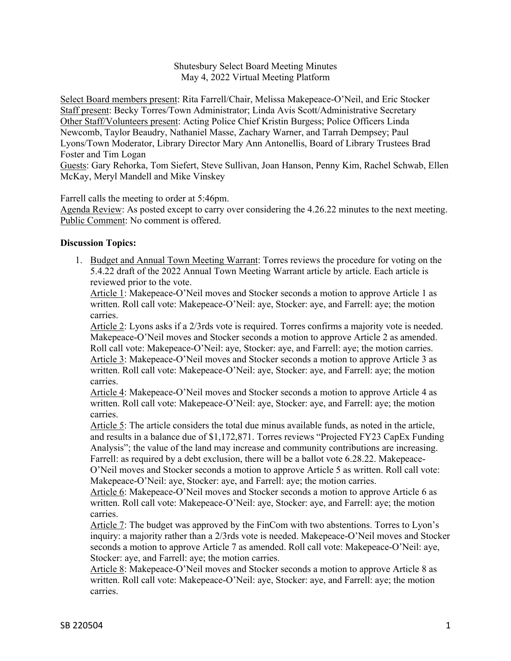Shutesbury Select Board Meeting Minutes May 4, 2022 Virtual Meeting Platform

Select Board members present: Rita Farrell/Chair, Melissa Makepeace-O'Neil, and Eric Stocker Staff present: Becky Torres/Town Administrator; Linda Avis Scott/Administrative Secretary Other Staff/Volunteers present: Acting Police Chief Kristin Burgess; Police Officers Linda Newcomb, Taylor Beaudry, Nathaniel Masse, Zachary Warner, and Tarrah Dempsey; Paul Lyons/Town Moderator, Library Director Mary Ann Antonellis, Board of Library Trustees Brad Foster and Tim Logan

Guests: Gary Rehorka, Tom Siefert, Steve Sullivan, Joan Hanson, Penny Kim, Rachel Schwab, Ellen McKay, Meryl Mandell and Mike Vinskey

Farrell calls the meeting to order at 5:46pm.

Agenda Review: As posted except to carry over considering the 4.26.22 minutes to the next meeting. Public Comment: No comment is offered.

## **Discussion Topics:**

1. Budget and Annual Town Meeting Warrant: Torres reviews the procedure for voting on the 5.4.22 draft of the 2022 Annual Town Meeting Warrant article by article. Each article is reviewed prior to the vote.

Article 1: Makepeace-O'Neil moves and Stocker seconds a motion to approve Article 1 as written. Roll call vote: Makepeace-O'Neil: aye, Stocker: aye, and Farrell: aye; the motion carries.

Article 2: Lyons asks if a 2/3rds vote is required. Torres confirms a majority vote is needed. Makepeace-O'Neil moves and Stocker seconds a motion to approve Article 2 as amended. Roll call vote: Makepeace-O'Neil: aye, Stocker: aye, and Farrell: aye; the motion carries. Article 3: Makepeace-O'Neil moves and Stocker seconds a motion to approve Article 3 as written. Roll call vote: Makepeace-O'Neil: aye, Stocker: aye, and Farrell: aye; the motion carries.

Article 4: Makepeace-O'Neil moves and Stocker seconds a motion to approve Article 4 as written. Roll call vote: Makepeace-O'Neil: aye, Stocker: aye, and Farrell: aye; the motion carries.

Article 5: The article considers the total due minus available funds, as noted in the article, and results in a balance due of \$1,172,871. Torres reviews "Projected FY23 CapEx Funding Analysis"; the value of the land may increase and community contributions are increasing. Farrell: as required by a debt exclusion, there will be a ballot vote 6.28.22. Makepeace-O'Neil moves and Stocker seconds a motion to approve Article 5 as written. Roll call vote: Makepeace-O'Neil: aye, Stocker: aye, and Farrell: aye; the motion carries.

Article 6: Makepeace-O'Neil moves and Stocker seconds a motion to approve Article 6 as written. Roll call vote: Makepeace-O'Neil: aye, Stocker: aye, and Farrell: aye; the motion carries.

Article 7: The budget was approved by the FinCom with two abstentions. Torres to Lyon's inquiry: a majority rather than a 2/3rds vote is needed. Makepeace-O'Neil moves and Stocker seconds a motion to approve Article 7 as amended. Roll call vote: Makepeace-O'Neil: aye, Stocker: aye, and Farrell: aye; the motion carries.

Article 8: Makepeace-O'Neil moves and Stocker seconds a motion to approve Article 8 as written. Roll call vote: Makepeace-O'Neil: aye, Stocker: aye, and Farrell: aye; the motion carries.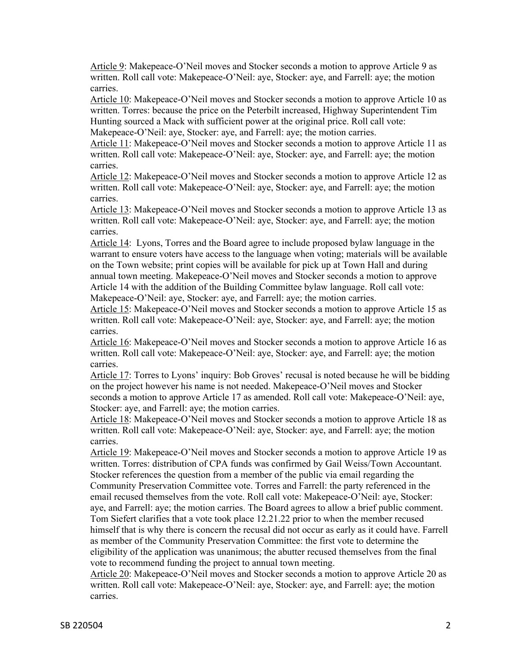Article 9: Makepeace-O'Neil moves and Stocker seconds a motion to approve Article 9 as written. Roll call vote: Makepeace-O'Neil: aye, Stocker: aye, and Farrell: aye; the motion carries.

Article 10: Makepeace-O'Neil moves and Stocker seconds a motion to approve Article 10 as written. Torres: because the price on the Peterbilt increased, Highway Superintendent Tim Hunting sourced a Mack with sufficient power at the original price. Roll call vote: Makepeace-O'Neil: aye, Stocker: aye, and Farrell: aye; the motion carries.

Article 11: Makepeace-O'Neil moves and Stocker seconds a motion to approve Article 11 as written. Roll call vote: Makepeace-O'Neil: aye, Stocker: aye, and Farrell: aye; the motion carries.

Article 12: Makepeace-O'Neil moves and Stocker seconds a motion to approve Article 12 as written. Roll call vote: Makepeace-O'Neil: aye, Stocker: aye, and Farrell: aye; the motion carries.

Article 13: Makepeace-O'Neil moves and Stocker seconds a motion to approve Article 13 as written. Roll call vote: Makepeace-O'Neil: aye, Stocker: aye, and Farrell: aye; the motion carries.

Article 14: Lyons, Torres and the Board agree to include proposed bylaw language in the warrant to ensure voters have access to the language when voting; materials will be available on the Town website; print copies will be available for pick up at Town Hall and during annual town meeting. Makepeace-O'Neil moves and Stocker seconds a motion to approve Article 14 with the addition of the Building Committee bylaw language. Roll call vote: Makepeace-O'Neil: aye, Stocker: aye, and Farrell: aye; the motion carries.

Article 15: Makepeace-O'Neil moves and Stocker seconds a motion to approve Article 15 as written. Roll call vote: Makepeace-O'Neil: aye, Stocker: aye, and Farrell: aye; the motion carries.

Article 16: Makepeace-O'Neil moves and Stocker seconds a motion to approve Article 16 as written. Roll call vote: Makepeace-O'Neil: aye, Stocker: aye, and Farrell: aye; the motion carries.

Article 17: Torres to Lyons' inquiry: Bob Groves' recusal is noted because he will be bidding on the project however his name is not needed. Makepeace-O'Neil moves and Stocker seconds a motion to approve Article 17 as amended. Roll call vote: Makepeace-O'Neil: aye, Stocker: aye, and Farrell: aye; the motion carries.

Article 18: Makepeace-O'Neil moves and Stocker seconds a motion to approve Article 18 as written. Roll call vote: Makepeace-O'Neil: aye, Stocker: aye, and Farrell: aye; the motion carries.

Article 19: Makepeace-O'Neil moves and Stocker seconds a motion to approve Article 19 as written. Torres: distribution of CPA funds was confirmed by Gail Weiss/Town Accountant. Stocker references the question from a member of the public via email regarding the Community Preservation Committee vote. Torres and Farrell: the party referenced in the email recused themselves from the vote. Roll call vote: Makepeace-O'Neil: aye, Stocker: aye, and Farrell: aye; the motion carries. The Board agrees to allow a brief public comment. Tom Siefert clarifies that a vote took place 12.21.22 prior to when the member recused himself that is why there is concern the recusal did not occur as early as it could have. Farrell as member of the Community Preservation Committee: the first vote to determine the eligibility of the application was unanimous; the abutter recused themselves from the final vote to recommend funding the project to annual town meeting.

Article 20: Makepeace-O'Neil moves and Stocker seconds a motion to approve Article 20 as written. Roll call vote: Makepeace-O'Neil: aye, Stocker: aye, and Farrell: aye; the motion carries.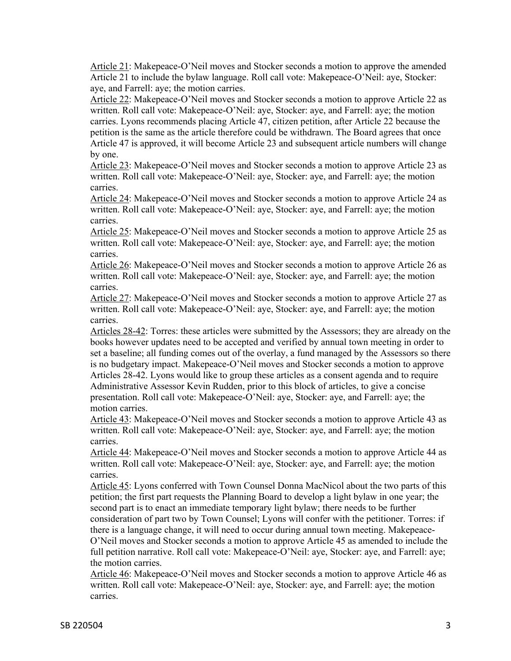Article 21: Makepeace-O'Neil moves and Stocker seconds a motion to approve the amended Article 21 to include the bylaw language. Roll call vote: Makepeace-O'Neil: aye, Stocker: aye, and Farrell: aye; the motion carries.

Article 22: Makepeace-O'Neil moves and Stocker seconds a motion to approve Article 22 as written. Roll call vote: Makepeace-O'Neil: aye, Stocker: aye, and Farrell: aye; the motion carries. Lyons recommends placing Article 47, citizen petition, after Article 22 because the petition is the same as the article therefore could be withdrawn. The Board agrees that once Article 47 is approved, it will become Article 23 and subsequent article numbers will change by one.

Article 23: Makepeace-O'Neil moves and Stocker seconds a motion to approve Article 23 as written. Roll call vote: Makepeace-O'Neil: aye, Stocker: aye, and Farrell: aye; the motion carries.

Article 24: Makepeace-O'Neil moves and Stocker seconds a motion to approve Article 24 as written. Roll call vote: Makepeace-O'Neil: aye, Stocker: aye, and Farrell: aye; the motion carries.

Article 25: Makepeace-O'Neil moves and Stocker seconds a motion to approve Article 25 as written. Roll call vote: Makepeace-O'Neil: aye, Stocker: aye, and Farrell: aye; the motion carries.

Article 26: Makepeace-O'Neil moves and Stocker seconds a motion to approve Article 26 as written. Roll call vote: Makepeace-O'Neil: aye, Stocker: aye, and Farrell: aye; the motion carries.

Article 27: Makepeace-O'Neil moves and Stocker seconds a motion to approve Article 27 as written. Roll call vote: Makepeace-O'Neil: aye, Stocker: aye, and Farrell: aye; the motion carries.

Articles 28-42: Torres: these articles were submitted by the Assessors; they are already on the books however updates need to be accepted and verified by annual town meeting in order to set a baseline; all funding comes out of the overlay, a fund managed by the Assessors so there is no budgetary impact. Makepeace-O'Neil moves and Stocker seconds a motion to approve Articles 28-42. Lyons would like to group these articles as a consent agenda and to require Administrative Assessor Kevin Rudden, prior to this block of articles, to give a concise presentation. Roll call vote: Makepeace-O'Neil: aye, Stocker: aye, and Farrell: aye; the motion carries.

Article 43: Makepeace-O'Neil moves and Stocker seconds a motion to approve Article 43 as written. Roll call vote: Makepeace-O'Neil: aye, Stocker: aye, and Farrell: aye; the motion carries.

Article 44: Makepeace-O'Neil moves and Stocker seconds a motion to approve Article 44 as written. Roll call vote: Makepeace-O'Neil: aye, Stocker: aye, and Farrell: aye; the motion carries.

Article 45: Lyons conferred with Town Counsel Donna MacNicol about the two parts of this petition; the first part requests the Planning Board to develop a light bylaw in one year; the second part is to enact an immediate temporary light bylaw; there needs to be further consideration of part two by Town Counsel; Lyons will confer with the petitioner. Torres: if there is a language change, it will need to occur during annual town meeting. Makepeace-O'Neil moves and Stocker seconds a motion to approve Article 45 as amended to include the full petition narrative. Roll call vote: Makepeace-O'Neil: aye, Stocker: aye, and Farrell: aye; the motion carries.

Article 46: Makepeace-O'Neil moves and Stocker seconds a motion to approve Article 46 as written. Roll call vote: Makepeace-O'Neil: aye, Stocker: aye, and Farrell: aye; the motion carries.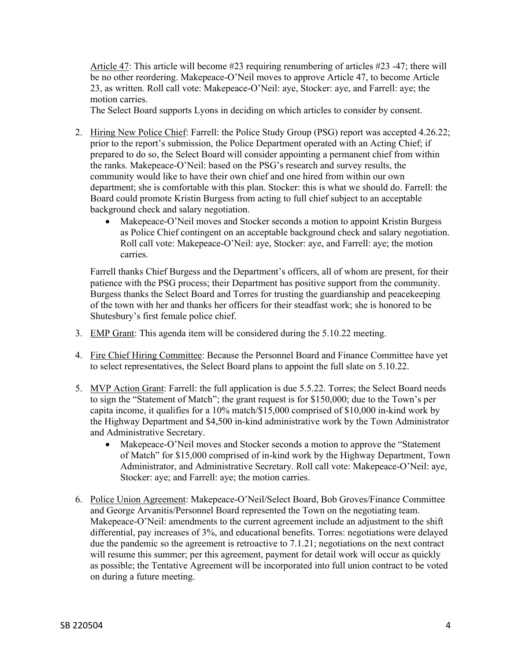Article 47: This article will become #23 requiring renumbering of articles #23 -47; there will be no other reordering. Makepeace-O'Neil moves to approve Article 47, to become Article 23, as written. Roll call vote: Makepeace-O'Neil: aye, Stocker: aye, and Farrell: aye; the motion carries.

The Select Board supports Lyons in deciding on which articles to consider by consent.

- 2. Hiring New Police Chief: Farrell: the Police Study Group (PSG) report was accepted 4.26.22; prior to the report's submission, the Police Department operated with an Acting Chief; if prepared to do so, the Select Board will consider appointing a permanent chief from within the ranks. Makepeace-O'Neil: based on the PSG's research and survey results, the community would like to have their own chief and one hired from within our own department; she is comfortable with this plan. Stocker: this is what we should do. Farrell: the Board could promote Kristin Burgess from acting to full chief subject to an acceptable background check and salary negotiation.
	- Makepeace-O'Neil moves and Stocker seconds a motion to appoint Kristin Burgess as Police Chief contingent on an acceptable background check and salary negotiation. Roll call vote: Makepeace-O'Neil: aye, Stocker: aye, and Farrell: aye; the motion carries.

Farrell thanks Chief Burgess and the Department's officers, all of whom are present, for their patience with the PSG process; their Department has positive support from the community. Burgess thanks the Select Board and Torres for trusting the guardianship and peacekeeping of the town with her and thanks her officers for their steadfast work; she is honored to be Shutesbury's first female police chief.

- 3. EMP Grant: This agenda item will be considered during the 5.10.22 meeting.
- 4. Fire Chief Hiring Committee: Because the Personnel Board and Finance Committee have yet to select representatives, the Select Board plans to appoint the full slate on 5.10.22.
- 5. MVP Action Grant: Farrell: the full application is due 5.5.22. Torres; the Select Board needs to sign the "Statement of Match"; the grant request is for \$150,000; due to the Town's per capita income, it qualifies for a 10% match/\$15,000 comprised of \$10,000 in-kind work by the Highway Department and \$4,500 in-kind administrative work by the Town Administrator and Administrative Secretary.
	- Makepeace-O'Neil moves and Stocker seconds a motion to approve the "Statement" of Match" for \$15,000 comprised of in-kind work by the Highway Department, Town Administrator, and Administrative Secretary. Roll call vote: Makepeace-O'Neil: aye, Stocker: aye; and Farrell: aye; the motion carries.
- 6. Police Union Agreement: Makepeace-O'Neil/Select Board, Bob Groves/Finance Committee and George Arvanitis/Personnel Board represented the Town on the negotiating team. Makepeace-O'Neil: amendments to the current agreement include an adjustment to the shift differential, pay increases of 3%, and educational benefits. Torres: negotiations were delayed due the pandemic so the agreement is retroactive to 7.1.21; negotiations on the next contract will resume this summer; per this agreement, payment for detail work will occur as quickly as possible; the Tentative Agreement will be incorporated into full union contract to be voted on during a future meeting.